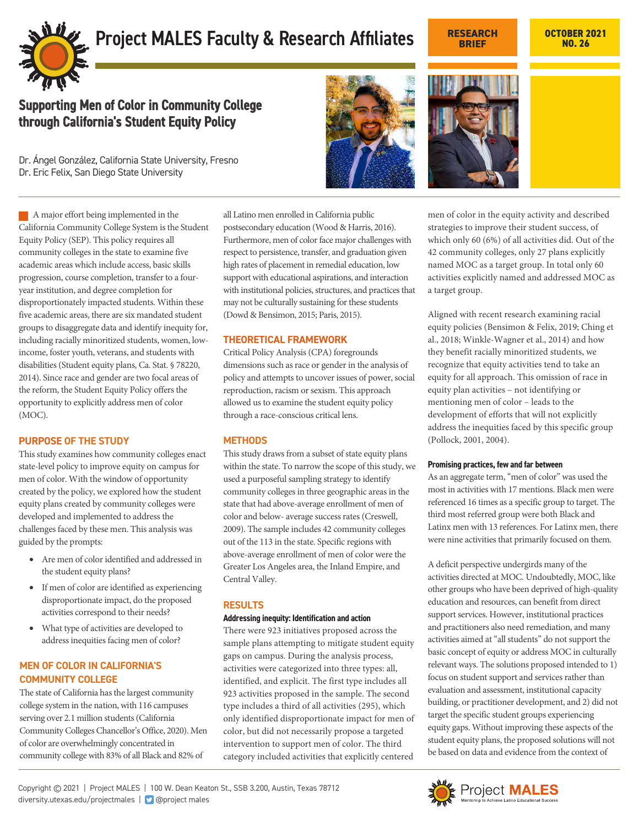

# **Project MALES Faculty & Research Affiliates CESEARCH OCTOBER 2021**

# **NO. 26**

# Supporting Men of Color in Community College through California's Student Equity Policy

Dr. Ángel González, California State University, Fresno Dr. Eric Felix, San Diego State University

A major effort being implemented in the California Community College System is the Student Equity Policy (SEP). This policy requires all community colleges in the state to examine five academic areas which include access, basic skills progression, course completion, transfer to a fouryear institution, and degree completion for disproportionately impacted students. Within these five academic areas, there are six mandated student groups to disaggregate data and identify inequity for, including racially minoritized students, women, lowincome, foster youth, veterans, and students with disabilities (Student equity plans, Ca. Stat. § 78220, 2014). Since race and gender are two focal areas of the reform, the Student Equity Policy offers the opportunity to explicitly address men of color (MOC).

# **PURPOSE OF THE STUDY**

This study examines how community colleges enact state-level policy to improve equity on campus for men of color. With the window of opportunity created by the policy, we explored how the student equity plans created by community colleges were developed and implemented to address the challenges faced by these men. This analysis was guided by the prompts:

- Are men of color identified and addressed in the student equity plans?
- If men of color are identified as experiencing disproportionate impact, do the proposed activities correspond to their needs?
- What type of activities are developed to address inequities facing men of color?

# **MEN OF COLOR IN CALIFORNIA'S COMMUNITY COLLEGE**

The state of California has the largest community college system in the nation, with 116 campuses serving over 2.1 million students (California Community Colleges Chancellor's Office, 2020). Men of color are overwhelmingly concentrated in community college with 83% of all Black and 82% of

all Latino men enrolled in California public postsecondary education (Wood & Harris, 2016). Furthermore, men of color face major challenges with respect to persistence, transfer, and graduation given high rates of placement in remedial education, low support with educational aspirations, and interaction with institutional policies, structures, and practices that may not be culturally sustaining for these students (Dowd & Bensimon, 2015; Paris, 2015).

#### **THEORETICAL FRAMEWORK**

Critical Policy Analysis (CPA) foregrounds dimensions such as race or gender in the analysis of policy and attempts to uncover issues of power, social reproduction, racism or sexism. This approach allowed us to examine the student equity policy through a race-conscious critical lens.

# **METHODS**

This study draws from a subset of state equity plans within the state. To narrow the scope of this study, we used a purposeful sampling strategy to identify community colleges in three geographic areas in the state that had above-average enrollment of men of color and below- average success rates (Creswell, 2009). The sample includes 42 community colleges out of the 113 in the state. Specific regions with above-average enrollment of men of color were the Greater Los Angeles area, the Inland Empire, and Central Valley.

#### **RESULTS**

#### **Addressing inequity: Identification and action**

There were 923 initiatives proposed across the sample plans attempting to mitigate student equity gaps on campus. During the analysis process, activities were categorized into three types: all, identified, and explicit. The first type includes all 923 activities proposed in the sample. The second type includes a third of all activities (295), which only identified disproportionate impact for men of color, but did not necessarily propose a targeted intervention to support men of color. The third category included activities that explicitly centered





**RESEARCH BRIEF**

men of color in the equity activity and described strategies to improve their student success, of which only 60 (6%) of all activities did. Out of the 42 community colleges, only 27 plans explicitly named MOC as a target group. In total only 60 activities explicitly named and addressed MOC as a target group.

Aligned with recent research examining racial equity policies (Bensimon & Felix, 2019; Ching et al., 2018; Winkle-Wagner et al., 2014) and how they benefit racially minoritized students, we recognize that equity activities tend to take an equity for all approach. This omission of race in equity plan activities – not identifying or mentioning men of color – leads to the development of efforts that will not explicitly address the inequities faced by this specific group (Pollock, 2001, 2004).

#### **Promising practices, few and far between**

As an aggregate term, "men of color" was used the most in activities with 17 mentions. Black men were referenced 16 times as a specific group to target. The third most referred group were both Black and Latinx men with 13 references. For Latinx men, there were nine activities that primarily focused on them.

A deficit perspective undergirds many of the activities directed at MOC. Undoubtedly, MOC, like other groups who have been deprived of high-quality education and resources, can benefit from direct support services. However, institutional practices and practitioners also need remediation, and many activities aimed at"all students" do not support the basic concept of equity or address MOC in culturally relevant ways. The solutions proposed intended to 1) focus on student support and services rather than evaluation and assessment, institutional capacity building, or practitioner development, and 2) did not target the specific student groups experiencing equity gaps. Without improving these aspects of the student equity plans, the proposed solutions will not be based on data and evidence from the context of